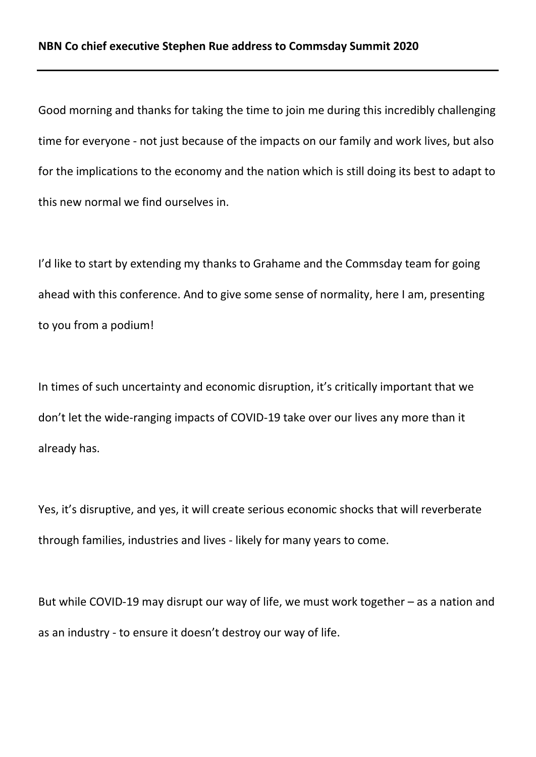Good morning and thanks for taking the time to join me during this incredibly challenging time for everyone - not just because of the impacts on our family and work lives, but also for the implications to the economy and the nation which is still doing its best to adapt to this new normal we find ourselves in.

I'd like to start by extending my thanks to Grahame and the Commsday team for going ahead with this conference. And to give some sense of normality, here I am, presenting to you from a podium!

In times of such uncertainty and economic disruption, it's critically important that we don't let the wide-ranging impacts of COVID-19 take over our lives any more than it already has.

Yes, it's disruptive, and yes, it will create serious economic shocks that will reverberate through families, industries and lives - likely for many years to come.

But while COVID-19 may disrupt our way of life, we must work together – as a nation and as an industry - to ensure it doesn't destroy our way of life.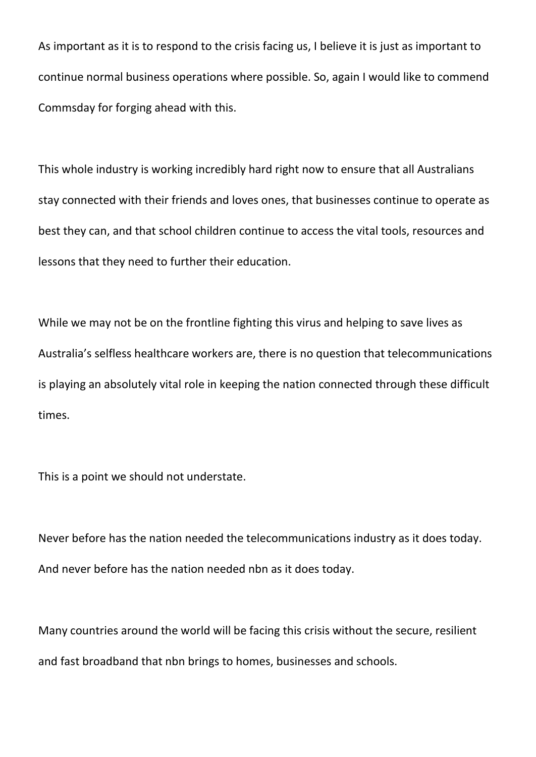As important as it is to respond to the crisis facing us, I believe it is just as important to continue normal business operations where possible. So, again I would like to commend Commsday for forging ahead with this.

This whole industry is working incredibly hard right now to ensure that all Australians stay connected with their friends and loves ones, that businesses continue to operate as best they can, and that school children continue to access the vital tools, resources and lessons that they need to further their education.

While we may not be on the frontline fighting this virus and helping to save lives as Australia's selfless healthcare workers are, there is no question that telecommunications is playing an absolutely vital role in keeping the nation connected through these difficult times.

This is a point we should not understate.

Never before has the nation needed the telecommunications industry as it does today. And never before has the nation needed nbn as it does today.

Many countries around the world will be facing this crisis without the secure, resilient and fast broadband that nbn brings to homes, businesses and schools.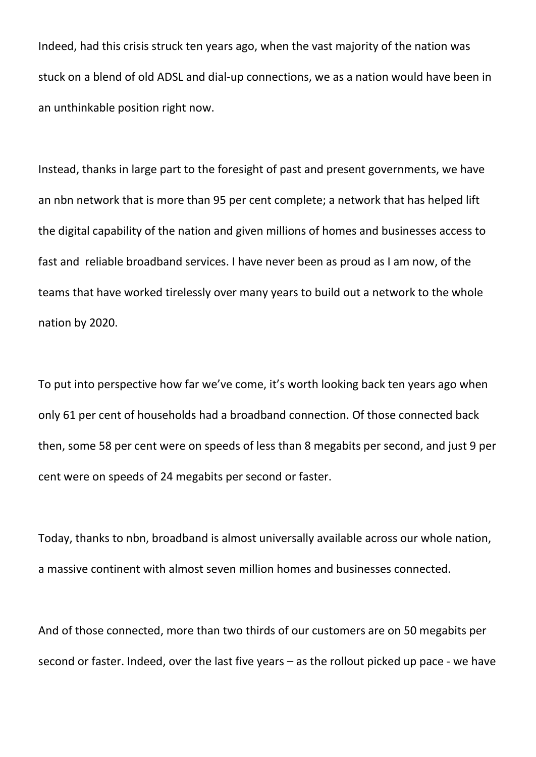Indeed, had this crisis struck ten years ago, when the vast majority of the nation was stuck on a blend of old ADSL and dial-up connections, we as a nation would have been in an unthinkable position right now.

Instead, thanks in large part to the foresight of past and present governments, we have an nbn network that is more than 95 per cent complete; a network that has helped lift the digital capability of the nation and given millions of homes and businesses access to fast and reliable broadband services. I have never been as proud as I am now, of the teams that have worked tirelessly over many years to build out a network to the whole nation by 2020.

To put into perspective how far we've come, it's worth looking back ten years ago when only 61 per cent of households had a broadband connection. Of those connected back then, some 58 per cent were on speeds of less than 8 megabits per second, and just 9 per cent were on speeds of 24 megabits per second or faster.

Today, thanks to nbn, broadband is almost universally available across our whole nation, a massive continent with almost seven million homes and businesses connected.

And of those connected, more than two thirds of our customers are on 50 megabits per second or faster. Indeed, over the last five years – as the rollout picked up pace - we have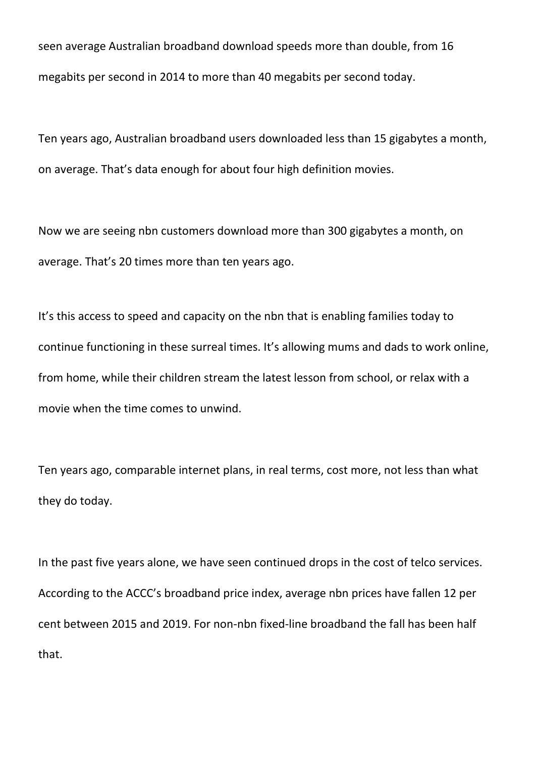seen average Australian broadband download speeds more than double, from 16 megabits per second in 2014 to more than 40 megabits per second today.

Ten years ago, Australian broadband users downloaded less than 15 gigabytes a month, on average. That's data enough for about four high definition movies.

Now we are seeing nbn customers download more than 300 gigabytes a month, on average. That's 20 times more than ten years ago.

It's this access to speed and capacity on the nbn that is enabling families today to continue functioning in these surreal times. It's allowing mums and dads to work online, from home, while their children stream the latest lesson from school, or relax with a movie when the time comes to unwind.

Ten years ago, comparable internet plans, in real terms, cost more, not less than what they do today.

In the past five years alone, we have seen continued drops in the cost of telco services. According to the ACCC's broadband price index, average nbn prices have fallen 12 per cent between 2015 and 2019. For non-nbn fixed-line broadband the fall has been half that.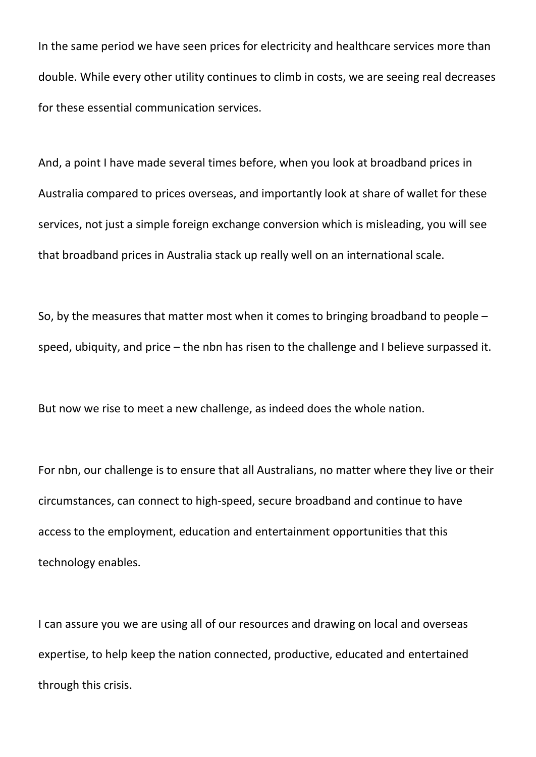In the same period we have seen prices for electricity and healthcare services more than double. While every other utility continues to climb in costs, we are seeing real decreases for these essential communication services.

And, a point I have made several times before, when you look at broadband prices in Australia compared to prices overseas, and importantly look at share of wallet for these services, not just a simple foreign exchange conversion which is misleading, you will see that broadband prices in Australia stack up really well on an international scale.

So, by the measures that matter most when it comes to bringing broadband to people – speed, ubiquity, and price – the nbn has risen to the challenge and I believe surpassed it.

But now we rise to meet a new challenge, as indeed does the whole nation.

For nbn, our challenge is to ensure that all Australians, no matter where they live or their circumstances, can connect to high-speed, secure broadband and continue to have access to the employment, education and entertainment opportunities that this technology enables.

I can assure you we are using all of our resources and drawing on local and overseas expertise, to help keep the nation connected, productive, educated and entertained through this crisis.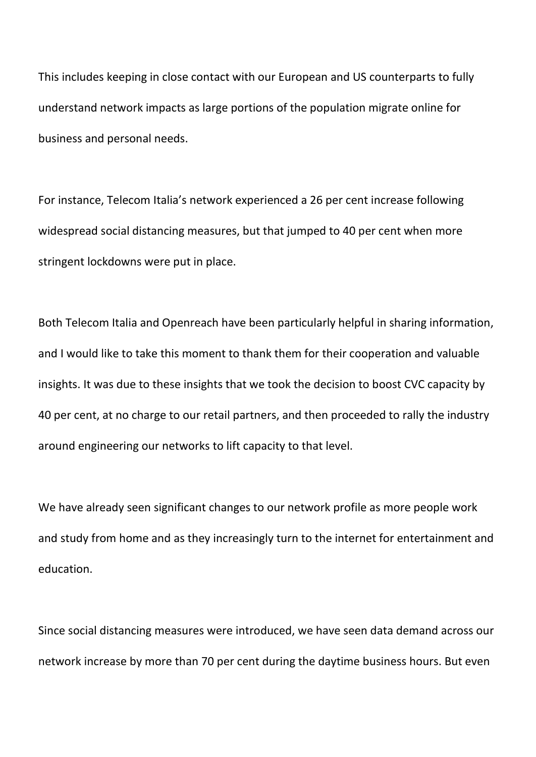This includes keeping in close contact with our European and US counterparts to fully understand network impacts as large portions of the population migrate online for business and personal needs.

For instance, Telecom Italia's network experienced a 26 per cent increase following widespread social distancing measures, but that jumped to 40 per cent when more stringent lockdowns were put in place.

Both Telecom Italia and Openreach have been particularly helpful in sharing information, and I would like to take this moment to thank them for their cooperation and valuable insights. It was due to these insights that we took the decision to boost CVC capacity by 40 per cent, at no charge to our retail partners, and then proceeded to rally the industry around engineering our networks to lift capacity to that level.

We have already seen significant changes to our network profile as more people work and study from home and as they increasingly turn to the internet for entertainment and education.

Since social distancing measures were introduced, we have seen data demand across our network increase by more than 70 per cent during the daytime business hours. But even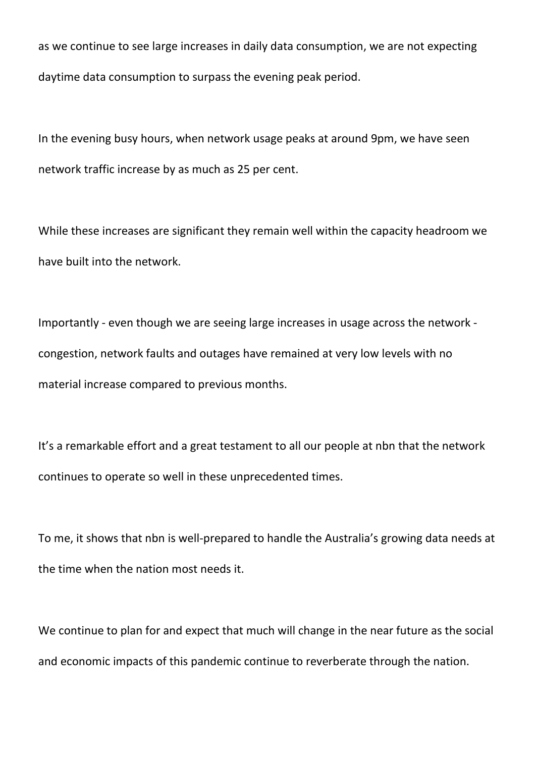as we continue to see large increases in daily data consumption, we are not expecting daytime data consumption to surpass the evening peak period.

In the evening busy hours, when network usage peaks [at around 9pm,](x-apple-data-detectors://7/) we have seen network traffic increase by as much as 25 per cent.

While these increases are significant they remain well within the capacity headroom we have built into the network.

Importantly - even though we are seeing large increases in usage across the network congestion, network faults and outages have remained at very low levels with no material increase compared to previous months.

It's a remarkable effort and a great testament to all our people at nbn that the network continues to operate so well in these unprecedented times.

To me, it shows that nbn is well-prepared to handle the Australia's growing data needs at the time when the nation most needs it.

We continue to plan for and expect that much will change in the near future as the social and economic impacts of this pandemic continue to reverberate through the nation.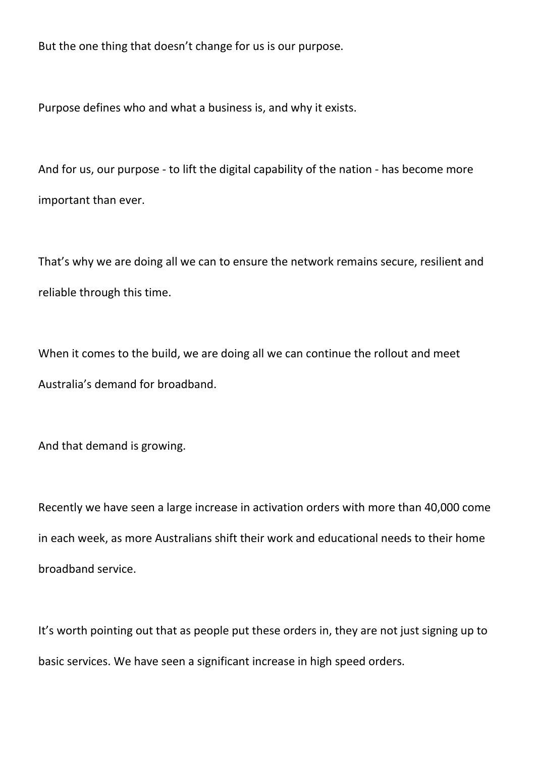But the one thing that doesn't change for us is our purpose.

Purpose defines who and what a business is, and why it exists.

And for us, our purpose - to lift the digital capability of the nation - has become more important than ever.

That's why we are doing all we can to ensure the network remains secure, resilient and reliable through this time.

When it comes to the build, we are doing all we can continue the rollout and meet Australia's demand for broadband.

And that demand is growing.

Recently we have seen a large increase in activation orders with more than 40,000 come in each week, as more Australians shift their work and educational needs to their home broadband service.

It's worth pointing out that as people put these orders in, they are not just signing up to basic services. We have seen a significant increase in high speed orders.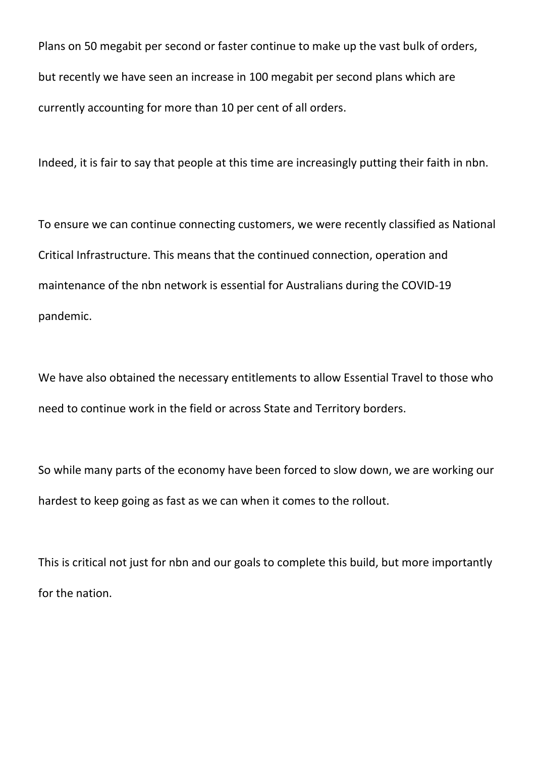Plans on 50 megabit per second or faster continue to make up the vast bulk of orders, but recently we have seen an increase in 100 megabit per second plans which are currently accounting for more than 10 per cent of all orders.

Indeed, it is fair to say that people at this time are increasingly putting their faith in nbn.

To ensure we can continue connecting customers, we were recently classified as National Critical Infrastructure. This means that the continued connection, operation and maintenance of the nbn network is essential for Australians during the COVID-19 pandemic.

We have also obtained the necessary entitlements to allow Essential Travel to those who need to continue work in the field or across State and Territory borders.

So while many parts of the economy have been forced to slow down, we are working our hardest to keep going as fast as we can when it comes to the rollout.

This is critical not just for nbn and our goals to complete this build, but more importantly for the nation.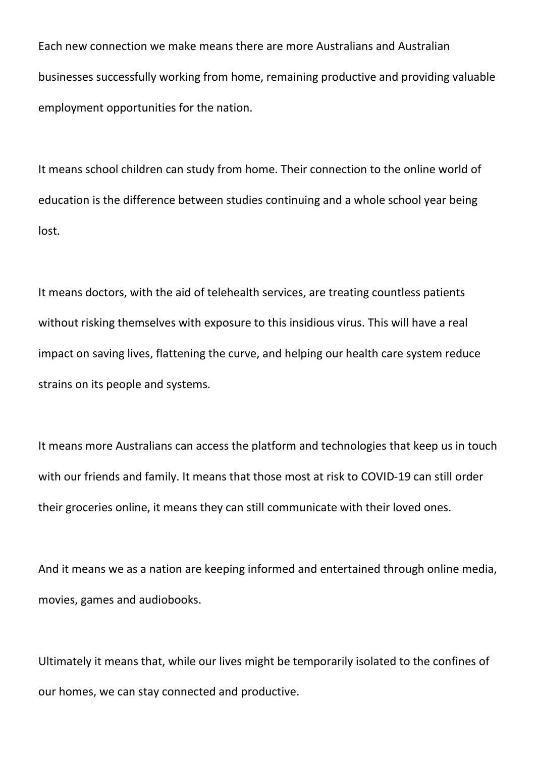Each new connection we make means there are more Australians and Australian businesses successfully working from home, remaining productive and providing valuable employment opportunities for the nation.

It means school children can study from home. Their connection to the online world of education is the difference between studies continuing and a whole school year being lost.

It means doctors, with the aid of telehealth services, are treating countless patients without risking themselves with exposure to this insidious virus. This will have a real impact on saving lives, flattening the curve, and helping our health care system reduce strains on its people and systems.

It means more Australians can access the platform and technologies that keep us in touch with our friends and family. It means that those most at risk to COVID-19 can still order their groceries online, it means they can still communicate with their loved ones.

And it means we as a nation are keeping informed and entertained through online media, movies, games and audiobooks.

Ultimately it means that, while our lives might be temporarily isolated to the confines of our homes, we can stay connected and productive.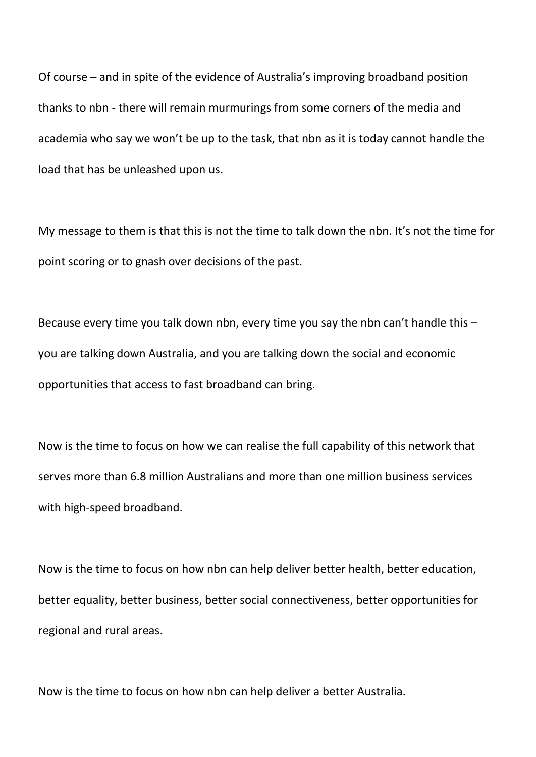Of course – and in spite of the evidence of Australia's improving broadband position thanks to nbn - there will remain murmurings from some corners of the media and academia who say we won't be up to the task, that nbn as it is today cannot handle the load that has be unleashed upon us.

My message to them is that this is not the time to talk down the nbn. It's not the time for point scoring or to gnash over decisions of the past.

Because every time you talk down nbn, every time you say the nbn can't handle this – you are talking down Australia, and you are talking down the social and economic opportunities that access to fast broadband can bring.

Now is the time to focus on how we can realise the full capability of this network that serves more than 6.8 million Australians and more than one million business services with high-speed broadband.

Now is the time to focus on how nbn can help deliver better health, better education, better equality, better business, better social connectiveness, better opportunities for regional and rural areas.

Now is the time to focus on how nbn can help deliver a better Australia.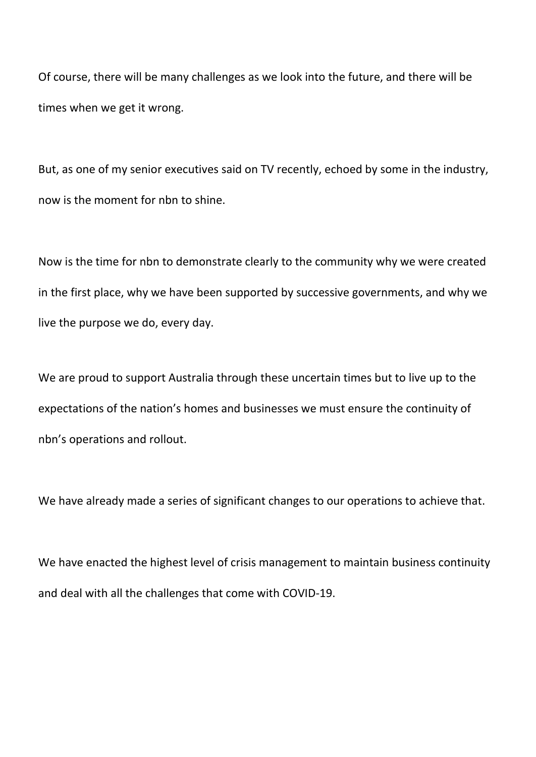Of course, there will be many challenges as we look into the future, and there will be times when we get it wrong.

But, as one of my senior executives said on TV recently, echoed by some in the industry, now is the moment for nbn to shine.

Now is the time for nbn to demonstrate clearly to the community why we were created in the first place, why we have been supported by successive governments, and why we live the purpose we do, every day.

We are proud to support Australia through these uncertain times but to live up to the expectations of the nation's homes and businesses we must ensure the continuity of nbn's operations and rollout.

We have already made a series of significant changes to our operations to achieve that.

We have enacted the highest level of crisis management to maintain business continuity and deal with all the challenges that come with COVID-19.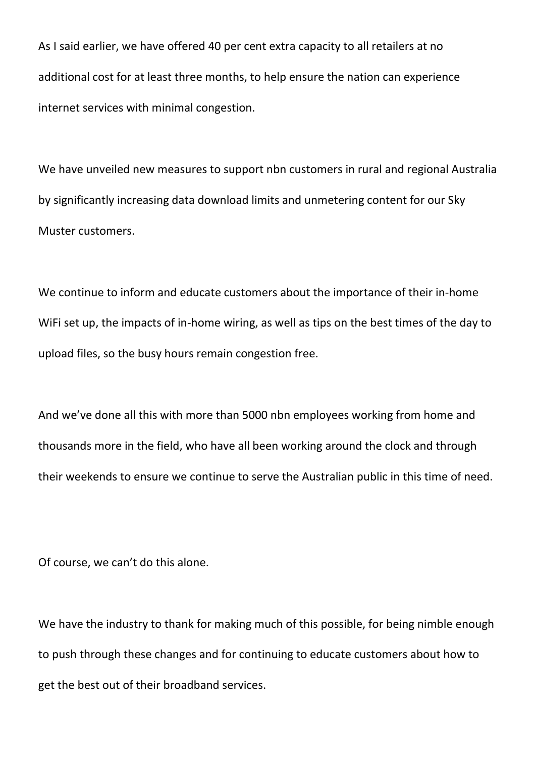As I said earlier, we have offered 40 per cent extra capacity to all retailers at no additional cost for at least three months, to help ensure the nation can experience internet services with minimal congestion.

We have unveiled new measures to support nbn customers in rural and regional Australia by significantly increasing data download limits and unmetering content for our Sky Muster customers.

We continue to inform and educate customers about the importance of their in-home WiFi set up, the impacts of in-home wiring, as well as tips on the best times of the day to upload files, so the busy hours remain congestion free.

And we've done all this with more than 5000 nbn employees working from home and thousands more in the field, who have all been working around the clock and through their weekends to ensure we continue to serve the Australian public in this time of need.

Of course, we can't do this alone.

We have the industry to thank for making much of this possible, for being nimble enough to push through these changes and for continuing to educate customers about how to get the best out of their broadband services.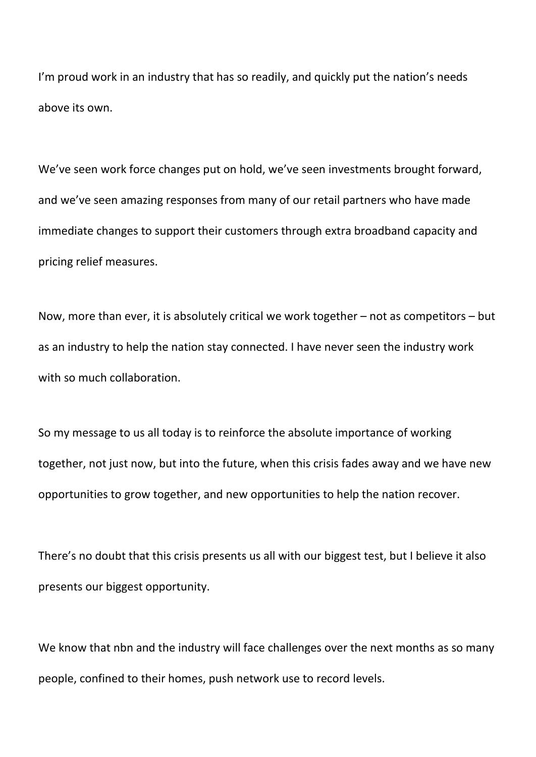I'm proud work in an industry that has so readily, and quickly put the nation's needs above its own.

We've seen work force changes put on hold, we've seen investments brought forward, and we've seen amazing responses from many of our retail partners who have made immediate changes to support their customers through extra broadband capacity and pricing relief measures.

Now, more than ever, it is absolutely critical we work together – not as competitors – but as an industry to help the nation stay connected. I have never seen the industry work with so much collaboration.

So my message to us all today is to reinforce the absolute importance of working together, not just now, but into the future, when this crisis fades away and we have new opportunities to grow together, and new opportunities to help the nation recover.

There's no doubt that this crisis presents us all with our biggest test, but I believe it also presents our biggest opportunity.

We know that nbn and the industry will face challenges over the next months as so many people, confined to their homes, push network use to record levels.